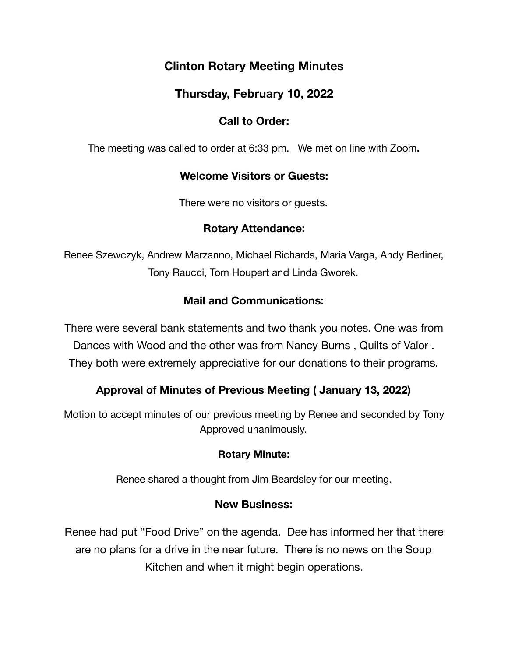# **Clinton Rotary Meeting Minutes**

# **Thursday, February 10, 2022**

### **Call to Order:**

The meeting was called to order at 6:33 pm. We met on line with Zoom**.** 

### **Welcome Visitors or Guests:**

There were no visitors or guests.

### **Rotary Attendance:**

Renee Szewczyk, Andrew Marzanno, Michael Richards, Maria Varga, Andy Berliner, Tony Raucci, Tom Houpert and Linda Gworek.

## **Mail and Communications:**

There were several bank statements and two thank you notes. One was from Dances with Wood and the other was from Nancy Burns , Quilts of Valor . They both were extremely appreciative for our donations to their programs.

## **Approval of Minutes of Previous Meeting ( January 13, 2022)**

Motion to accept minutes of our previous meeting by Renee and seconded by Tony Approved unanimously.

### **Rotary Minute:**

Renee shared a thought from Jim Beardsley for our meeting.

### **New Business:**

Renee had put "Food Drive" on the agenda. Dee has informed her that there are no plans for a drive in the near future. There is no news on the Soup Kitchen and when it might begin operations.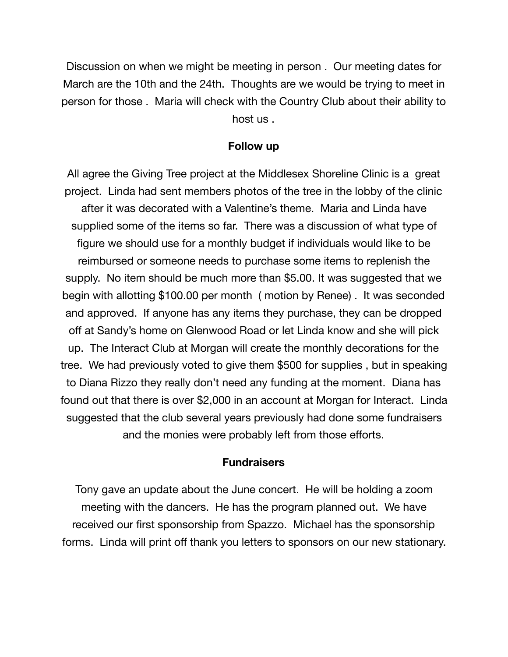Discussion on when we might be meeting in person . Our meeting dates for March are the 10th and the 24th. Thoughts are we would be trying to meet in person for those . Maria will check with the Country Club about their ability to host us .

#### **Follow up**

All agree the Giving Tree project at the Middlesex Shoreline Clinic is a great project. Linda had sent members photos of the tree in the lobby of the clinic after it was decorated with a Valentine's theme. Maria and Linda have supplied some of the items so far. There was a discussion of what type of figure we should use for a monthly budget if individuals would like to be reimbursed or someone needs to purchase some items to replenish the supply. No item should be much more than \$5.00. It was suggested that we begin with allotting \$100.00 per month ( motion by Renee) . It was seconded and approved. If anyone has any items they purchase, they can be dropped off at Sandy's home on Glenwood Road or let Linda know and she will pick up. The Interact Club at Morgan will create the monthly decorations for the tree. We had previously voted to give them \$500 for supplies , but in speaking to Diana Rizzo they really don't need any funding at the moment. Diana has found out that there is over \$2,000 in an account at Morgan for Interact. Linda suggested that the club several years previously had done some fundraisers and the monies were probably left from those efforts.

#### **Fundraisers**

Tony gave an update about the June concert. He will be holding a zoom meeting with the dancers. He has the program planned out. We have received our first sponsorship from Spazzo. Michael has the sponsorship forms. Linda will print off thank you letters to sponsors on our new stationary.